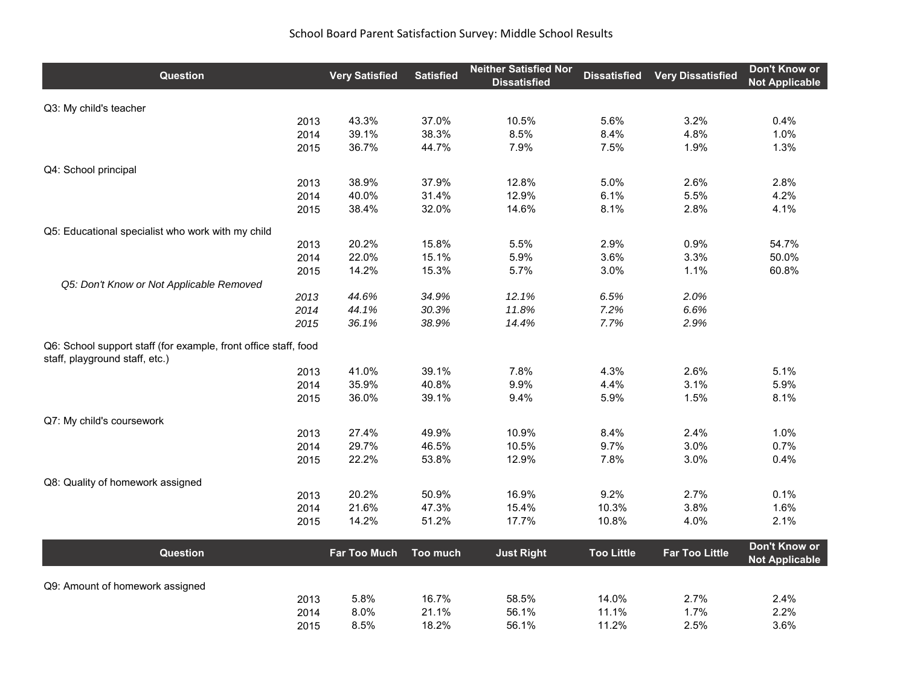## School Board Parent Satisfaction Survey: Middle School Results

| <b>Question</b>                                                                                   | <b>Very Satisfied</b> | <b>Satisfied</b> | <b>Neither Satisfied Nor</b><br><b>Dissatisfied</b> | <b>Dissatisfied</b> | <b>Very Dissatisfied</b> | Don't Know or<br><b>Not Applicable</b> |
|---------------------------------------------------------------------------------------------------|-----------------------|------------------|-----------------------------------------------------|---------------------|--------------------------|----------------------------------------|
| Q3: My child's teacher                                                                            |                       |                  |                                                     |                     |                          |                                        |
| 2013                                                                                              | 43.3%                 | 37.0%            | 10.5%                                               | 5.6%                | 3.2%                     | 0.4%                                   |
| 2014                                                                                              | 39.1%                 | 38.3%            | 8.5%                                                | 8.4%                | 4.8%                     | 1.0%                                   |
| 2015                                                                                              | 36.7%                 | 44.7%            | 7.9%                                                | 7.5%                | 1.9%                     | 1.3%                                   |
| Q4: School principal                                                                              |                       |                  |                                                     |                     |                          |                                        |
| 2013                                                                                              | 38.9%                 | 37.9%            | 12.8%                                               | 5.0%                | 2.6%                     | 2.8%                                   |
| 2014                                                                                              | 40.0%                 | 31.4%            | 12.9%                                               | 6.1%                | 5.5%                     | 4.2%                                   |
| 2015                                                                                              | 38.4%                 | 32.0%            | 14.6%                                               | 8.1%                | 2.8%                     | 4.1%                                   |
| Q5: Educational specialist who work with my child                                                 |                       |                  |                                                     |                     |                          |                                        |
| 2013                                                                                              | 20.2%                 | 15.8%            | 5.5%                                                | 2.9%                | 0.9%                     | 54.7%                                  |
| 2014                                                                                              | 22.0%                 | 15.1%            | 5.9%                                                | 3.6%                | 3.3%                     | 50.0%                                  |
| 2015                                                                                              | 14.2%                 | 15.3%            | 5.7%                                                | 3.0%                | 1.1%                     | 60.8%                                  |
| Q5: Don't Know or Not Applicable Removed                                                          |                       |                  |                                                     |                     |                          |                                        |
| 2013                                                                                              | 44.6%                 | 34.9%            | 12.1%                                               | 6.5%                | 2.0%                     |                                        |
| 2014                                                                                              | 44.1%                 | 30.3%            | 11.8%                                               | 7.2%                | 6.6%                     |                                        |
| 2015                                                                                              | 36.1%                 | 38.9%            | 14.4%                                               | 7.7%                | 2.9%                     |                                        |
| Q6: School support staff (for example, front office staff, food<br>staff, playground staff, etc.) |                       |                  |                                                     |                     |                          |                                        |
| 2013                                                                                              | 41.0%                 | 39.1%            | 7.8%                                                | 4.3%                | 2.6%                     | 5.1%                                   |
| 2014                                                                                              | 35.9%                 | 40.8%            | 9.9%                                                | 4.4%                | 3.1%                     | 5.9%                                   |
| 2015                                                                                              | 36.0%                 | 39.1%            | 9.4%                                                | 5.9%                | 1.5%                     | 8.1%                                   |
| Q7: My child's coursework                                                                         |                       |                  |                                                     |                     |                          |                                        |
| 2013                                                                                              | 27.4%                 | 49.9%            | 10.9%                                               | 8.4%                | 2.4%                     | 1.0%                                   |
| 2014                                                                                              | 29.7%                 | 46.5%            | 10.5%                                               | 9.7%                | 3.0%                     | 0.7%                                   |
| 2015                                                                                              | 22.2%                 | 53.8%            | 12.9%                                               | 7.8%                | 3.0%                     | 0.4%                                   |
| Q8: Quality of homework assigned                                                                  |                       |                  |                                                     |                     |                          |                                        |
| 2013                                                                                              | 20.2%                 | 50.9%            | 16.9%                                               | 9.2%                | 2.7%                     | 0.1%                                   |
| 2014                                                                                              | 21.6%                 | 47.3%            | 15.4%                                               | 10.3%               | 3.8%                     | 1.6%                                   |
| 2015                                                                                              | 14.2%                 | 51.2%            | 17.7%                                               | 10.8%               | 4.0%                     | 2.1%                                   |
| <b>Question</b>                                                                                   | <b>Far Too Much</b>   | Too much         | <b>Just Right</b>                                   | <b>Too Little</b>   | <b>Far Too Little</b>    | Don't Know or<br><b>Not Applicable</b> |
|                                                                                                   |                       |                  |                                                     |                     |                          |                                        |
| Q9: Amount of homework assigned                                                                   | 5.8%                  | 16.7%            | 58.5%                                               | 14.0%               | 2.7%                     |                                        |
| 2013<br>2014                                                                                      | 8.0%                  | 21.1%            | 56.1%                                               | 11.1%               | 1.7%                     | 2.4%<br>2.2%                           |
| 2015                                                                                              | 8.5%                  | 18.2%            | 56.1%                                               | 11.2%               | 2.5%                     | 3.6%                                   |
|                                                                                                   |                       |                  |                                                     |                     |                          |                                        |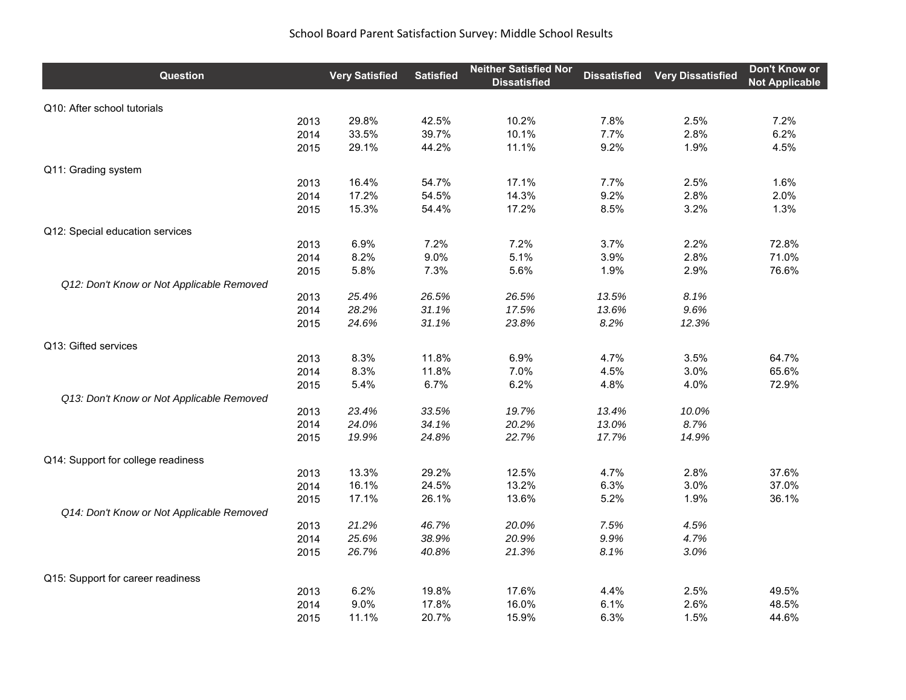## School Board Parent Satisfaction Survey: Middle School Results

| Question                                  | <b>Very Satisfied</b> | <b>Satisfied</b> | <b>Neither Satisfied Nor</b><br><b>Dissatisfied</b> | <b>Dissatisfied</b> | <b>Very Dissatisfied</b> | Don't Know or<br><b>Not Applicable</b> |
|-------------------------------------------|-----------------------|------------------|-----------------------------------------------------|---------------------|--------------------------|----------------------------------------|
| Q10: After school tutorials               |                       |                  |                                                     |                     |                          |                                        |
|                                           | 29.8%<br>2013         | 42.5%            | 10.2%                                               | 7.8%                | 2.5%                     | 7.2%                                   |
|                                           | 33.5%<br>2014         | 39.7%            | 10.1%                                               | 7.7%                | 2.8%                     | 6.2%                                   |
|                                           | 29.1%<br>2015         | 44.2%            | 11.1%                                               | 9.2%                | 1.9%                     | 4.5%                                   |
| Q11: Grading system                       |                       |                  |                                                     |                     |                          |                                        |
|                                           | 16.4%<br>2013         | 54.7%            | 17.1%                                               | 7.7%                | 2.5%                     | 1.6%                                   |
|                                           | 17.2%<br>2014         | 54.5%            | 14.3%                                               | 9.2%                | 2.8%                     | 2.0%                                   |
|                                           | 15.3%<br>2015         | 54.4%            | 17.2%                                               | 8.5%                | 3.2%                     | 1.3%                                   |
| Q12: Special education services           |                       |                  |                                                     |                     |                          |                                        |
|                                           | 6.9%<br>2013          | 7.2%             | 7.2%                                                | 3.7%                | 2.2%                     | 72.8%                                  |
|                                           | 8.2%<br>2014          | 9.0%             | 5.1%                                                | 3.9%                | 2.8%                     | 71.0%                                  |
|                                           | 5.8%<br>2015          | 7.3%             | 5.6%                                                | 1.9%                | 2.9%                     | 76.6%                                  |
| Q12: Don't Know or Not Applicable Removed | 25.4%<br>2013         | 26.5%            | 26.5%                                               | 13.5%               | 8.1%                     |                                        |
|                                           | 2014                  | 31.1%            | 17.5%                                               | 13.6%               | 9.6%                     |                                        |
|                                           | 28.2%                 |                  |                                                     |                     |                          |                                        |
|                                           | 24.6%<br>2015         | 31.1%            | 23.8%                                               | 8.2%                | 12.3%                    |                                        |
| Q13: Gifted services                      |                       |                  |                                                     |                     |                          |                                        |
|                                           | 8.3%<br>2013          | 11.8%            | 6.9%                                                | 4.7%                | 3.5%                     | 64.7%                                  |
|                                           | 8.3%<br>2014          | 11.8%            | 7.0%                                                | 4.5%                | 3.0%                     | 65.6%                                  |
|                                           | 5.4%<br>2015          | 6.7%             | 6.2%                                                | 4.8%                | 4.0%                     | 72.9%                                  |
| Q13: Don't Know or Not Applicable Removed |                       |                  |                                                     |                     |                          |                                        |
|                                           | 23.4%<br>2013         | 33.5%            | 19.7%                                               | 13.4%               | 10.0%                    |                                        |
|                                           | 24.0%<br>2014         | 34.1%            | 20.2%                                               | 13.0%               | 8.7%                     |                                        |
|                                           | 19.9%<br>2015         | 24.8%            | 22.7%                                               | 17.7%               | 14.9%                    |                                        |
| Q14: Support for college readiness        |                       |                  |                                                     |                     |                          |                                        |
|                                           | 13.3%<br>2013         | 29.2%            | 12.5%                                               | 4.7%                | 2.8%                     | 37.6%                                  |
|                                           | 16.1%<br>2014         | 24.5%            | 13.2%                                               | 6.3%                | 3.0%                     | 37.0%                                  |
|                                           | 17.1%<br>2015         | 26.1%            | 13.6%                                               | 5.2%                | 1.9%                     | 36.1%                                  |
| Q14: Don't Know or Not Applicable Removed |                       |                  |                                                     |                     |                          |                                        |
|                                           | 21.2%<br>2013         | 46.7%            | 20.0%                                               | 7.5%                | 4.5%                     |                                        |
|                                           | 2014<br>25.6%         | 38.9%            | 20.9%                                               | 9.9%                | 4.7%                     |                                        |
|                                           | 26.7%<br>2015         | 40.8%            | 21.3%                                               | 8.1%                | 3.0%                     |                                        |
| Q15: Support for career readiness         |                       |                  |                                                     |                     |                          |                                        |
|                                           | 6.2%<br>2013          | 19.8%            | 17.6%                                               | 4.4%                | 2.5%                     | 49.5%                                  |
|                                           | 9.0%<br>2014          | 17.8%            | 16.0%                                               | 6.1%                | 2.6%                     | 48.5%                                  |
|                                           | 11.1%<br>2015         | 20.7%            | 15.9%                                               | 6.3%                | 1.5%                     | 44.6%                                  |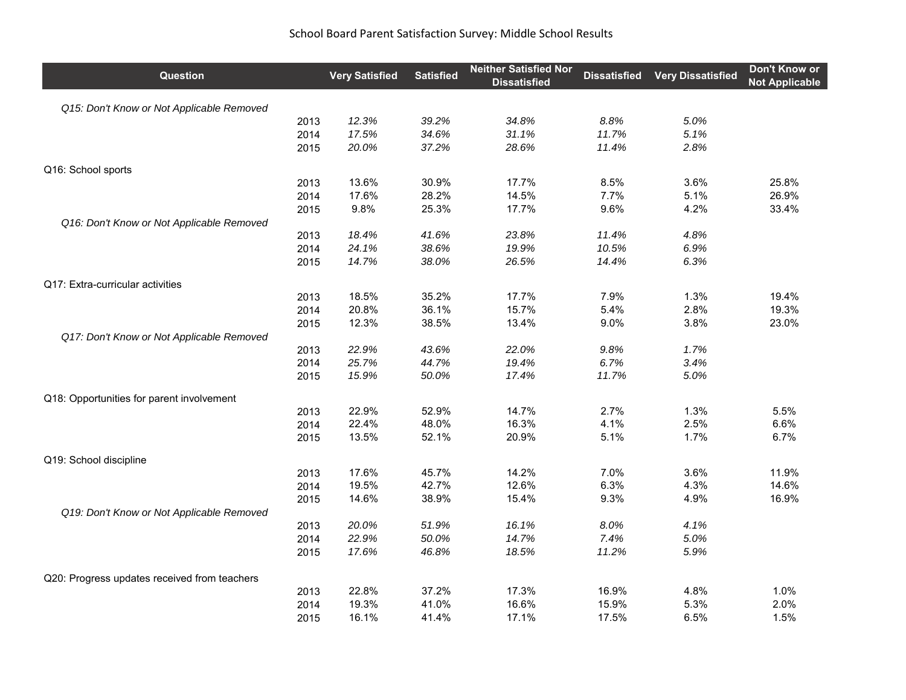| Question                                     | <b>Very Satisfied</b> | <b>Satisfied</b> | <b>Neither Satisfied Nor</b><br><b>Dissatisfied</b> | <b>Dissatisfied</b> | <b>Very Dissatisfied</b> | Don't Know or<br><b>Not Applicable</b> |
|----------------------------------------------|-----------------------|------------------|-----------------------------------------------------|---------------------|--------------------------|----------------------------------------|
| Q15: Don't Know or Not Applicable Removed    |                       |                  |                                                     |                     |                          |                                        |
| 2013                                         | 12.3%                 | 39.2%            | 34.8%                                               | 8.8%                | 5.0%                     |                                        |
| 2014                                         | 17.5%                 | 34.6%            | 31.1%                                               | 11.7%               | 5.1%                     |                                        |
| 2015                                         | 20.0%                 | 37.2%            | 28.6%                                               | 11.4%               | 2.8%                     |                                        |
| Q16: School sports                           |                       |                  |                                                     |                     |                          |                                        |
| 2013                                         | 13.6%                 | 30.9%            | 17.7%                                               | 8.5%                | 3.6%                     | 25.8%                                  |
| 2014                                         | 17.6%                 | 28.2%            | 14.5%                                               | 7.7%                | 5.1%                     | 26.9%                                  |
| 2015                                         | 9.8%                  | 25.3%            | 17.7%                                               | 9.6%                | 4.2%                     | 33.4%                                  |
| Q16: Don't Know or Not Applicable Removed    |                       |                  |                                                     |                     |                          |                                        |
| 2013                                         | 18.4%                 | 41.6%            | 23.8%                                               | 11.4%               | 4.8%                     |                                        |
| 2014                                         | 24.1%                 | 38.6%            | 19.9%                                               | 10.5%               | 6.9%                     |                                        |
| 2015                                         | 14.7%                 | 38.0%            | 26.5%                                               | 14.4%               | 6.3%                     |                                        |
| Q17: Extra-curricular activities             |                       |                  |                                                     |                     |                          |                                        |
| 2013                                         | 18.5%                 | 35.2%            | 17.7%                                               | 7.9%                | 1.3%                     | 19.4%                                  |
| 2014                                         | 20.8%                 | 36.1%            | 15.7%                                               | 5.4%                | 2.8%                     | 19.3%                                  |
| 2015                                         | 12.3%                 | 38.5%            | 13.4%                                               | 9.0%                | 3.8%                     | 23.0%                                  |
| Q17: Don't Know or Not Applicable Removed    |                       |                  |                                                     |                     |                          |                                        |
| 2013                                         | 22.9%                 | 43.6%            | 22.0%                                               | 9.8%                | 1.7%                     |                                        |
| 2014                                         | 25.7%                 | 44.7%            | 19.4%                                               | 6.7%                | 3.4%                     |                                        |
| 2015                                         | 15.9%                 | 50.0%            | 17.4%                                               | 11.7%               | 5.0%                     |                                        |
| Q18: Opportunities for parent involvement    |                       |                  |                                                     |                     |                          |                                        |
| 2013                                         | 22.9%                 | 52.9%            | 14.7%                                               | 2.7%                | 1.3%                     | 5.5%                                   |
| 2014                                         | 22.4%                 | 48.0%            | 16.3%                                               | 4.1%                | 2.5%                     | 6.6%                                   |
| 2015                                         | 13.5%                 | 52.1%            | 20.9%                                               | 5.1%                | 1.7%                     | 6.7%                                   |
| Q19: School discipline                       |                       |                  |                                                     |                     |                          |                                        |
| 2013                                         | 17.6%                 | 45.7%            | 14.2%                                               | 7.0%                | 3.6%                     | 11.9%                                  |
| 2014                                         | 19.5%                 | 42.7%            | 12.6%                                               | 6.3%                | 4.3%                     | 14.6%                                  |
| 2015                                         | 14.6%                 | 38.9%            | 15.4%                                               | 9.3%                | 4.9%                     | 16.9%                                  |
| Q19: Don't Know or Not Applicable Removed    |                       |                  |                                                     |                     |                          |                                        |
| 2013                                         | 20.0%                 | 51.9%            | 16.1%                                               | 8.0%                | 4.1%                     |                                        |
| 2014                                         | 22.9%                 | 50.0%            | 14.7%                                               | 7.4%                | 5.0%                     |                                        |
| 2015                                         | 17.6%                 | 46.8%            | 18.5%                                               | 11.2%               | 5.9%                     |                                        |
| Q20: Progress updates received from teachers |                       |                  |                                                     |                     |                          |                                        |
| 2013                                         | 22.8%                 | 37.2%            | 17.3%                                               | 16.9%               | 4.8%                     | 1.0%                                   |
| 2014                                         | 19.3%                 | 41.0%            | 16.6%                                               | 15.9%               | 5.3%                     | 2.0%                                   |
| 2015                                         | 16.1%                 | 41.4%            | 17.1%                                               | 17.5%               | 6.5%                     | 1.5%                                   |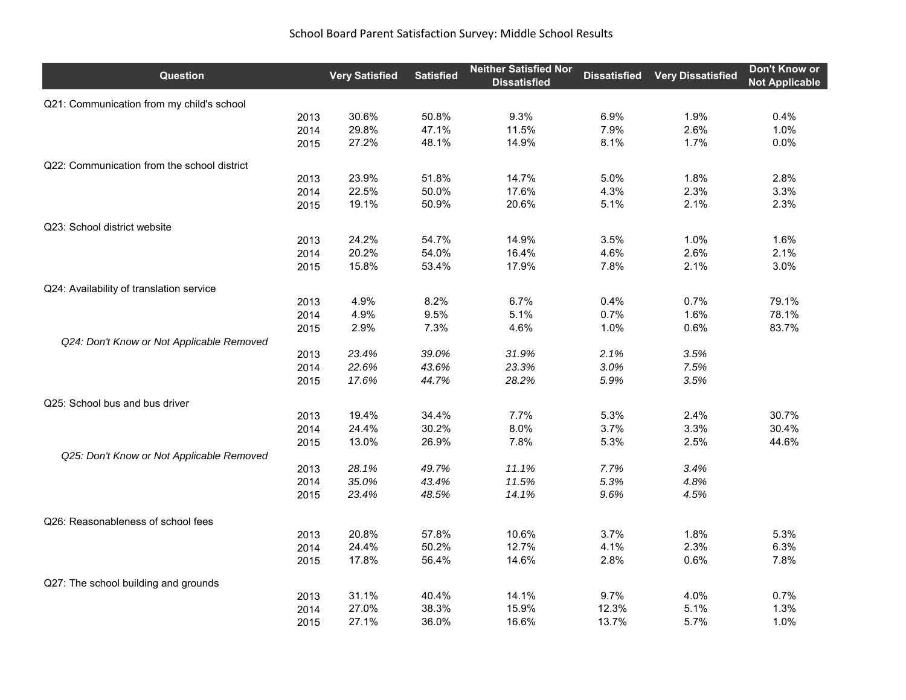| <b>Question</b>                             | <b>Very Satisfied</b> | <b>Satisfied</b> | <b>Neither Satisfied Nor</b><br><b>Dissatisfied</b> | <b>Dissatisfied</b> | <b>Very Dissatisfied</b> | <b>Don't Know or</b><br><b>Not Applicable</b> |
|---------------------------------------------|-----------------------|------------------|-----------------------------------------------------|---------------------|--------------------------|-----------------------------------------------|
| Q21: Communication from my child's school   |                       |                  |                                                     |                     |                          |                                               |
| 2013                                        | 30.6%                 | 50.8%            | 9.3%                                                | 6.9%                | 1.9%                     | 0.4%                                          |
| 2014                                        | 29.8%                 | 47.1%            | 11.5%                                               | 7.9%                | 2.6%                     | 1.0%                                          |
| 2015                                        | 27.2%                 | 48.1%            | 14.9%                                               | 8.1%                | 1.7%                     | 0.0%                                          |
| Q22: Communication from the school district |                       |                  |                                                     |                     |                          |                                               |
| 2013                                        | 23.9%                 | 51.8%            | 14.7%                                               | 5.0%                | 1.8%                     | 2.8%                                          |
| 2014                                        | 22.5%                 | 50.0%            | 17.6%                                               | 4.3%                | 2.3%                     | 3.3%                                          |
| 2015                                        | 19.1%                 | 50.9%            | 20.6%                                               | 5.1%                | 2.1%                     | 2.3%                                          |
| Q23: School district website                |                       |                  |                                                     |                     |                          |                                               |
| 2013                                        | 24.2%                 | 54.7%            | 14.9%                                               | 3.5%                | 1.0%                     | 1.6%                                          |
| 2014                                        | 20.2%                 | 54.0%            | 16.4%                                               | 4.6%                | 2.6%                     | 2.1%                                          |
| 2015                                        | 15.8%                 | 53.4%            | 17.9%                                               | 7.8%                | 2.1%                     | 3.0%                                          |
| Q24: Availability of translation service    |                       |                  |                                                     |                     |                          |                                               |
| 2013                                        | 4.9%                  | 8.2%             | 6.7%                                                | 0.4%                | 0.7%                     | 79.1%                                         |
| 2014                                        | 4.9%                  | 9.5%             | 5.1%                                                | 0.7%                | 1.6%                     | 78.1%                                         |
| 2015                                        | 2.9%                  | 7.3%             | 4.6%                                                | 1.0%                | 0.6%                     | 83.7%                                         |
| Q24: Don't Know or Not Applicable Removed   |                       |                  |                                                     |                     |                          |                                               |
| 2013                                        | 23.4%                 | 39.0%            | 31.9%                                               | 2.1%                | 3.5%                     |                                               |
| 2014                                        | 22.6%                 | 43.6%            | 23.3%                                               | 3.0%                | 7.5%                     |                                               |
| 2015                                        | 17.6%                 | 44.7%            | 28.2%                                               | 5.9%                | 3.5%                     |                                               |
| Q25: School bus and bus driver              |                       |                  |                                                     |                     |                          |                                               |
| 2013                                        | 19.4%                 | 34.4%            | 7.7%                                                | 5.3%                | 2.4%                     | 30.7%                                         |
| 2014                                        | 24.4%                 | 30.2%            | 8.0%                                                | 3.7%                | 3.3%                     | 30.4%                                         |
| 2015                                        | 13.0%                 | 26.9%            | 7.8%                                                | 5.3%                | 2.5%                     | 44.6%                                         |
| Q25: Don't Know or Not Applicable Removed   |                       |                  |                                                     |                     |                          |                                               |
| 2013                                        | 28.1%                 | 49.7%            | 11.1%                                               | 7.7%                | 3.4%                     |                                               |
| 2014                                        | 35.0%                 | 43.4%            | 11.5%                                               | 5.3%                | 4.8%                     |                                               |
| 2015                                        | 23.4%                 | 48.5%            | 14.1%                                               | 9.6%                | 4.5%                     |                                               |
| Q26: Reasonableness of school fees          |                       |                  |                                                     |                     |                          |                                               |
| 2013                                        | 20.8%                 | 57.8%            | 10.6%                                               | 3.7%                | 1.8%                     | 5.3%                                          |
| 2014                                        | 24.4%                 | 50.2%            | 12.7%                                               | 4.1%                | 2.3%                     | 6.3%                                          |
| 2015                                        | 17.8%                 | 56.4%            | 14.6%                                               | 2.8%                | 0.6%                     | 7.8%                                          |
| Q27: The school building and grounds        |                       |                  |                                                     |                     |                          |                                               |
| 2013                                        | 31.1%                 | 40.4%            | 14.1%                                               | 9.7%                | 4.0%                     | 0.7%                                          |
| 2014                                        | 27.0%                 | 38.3%            | 15.9%                                               | 12.3%               | 5.1%                     | 1.3%                                          |
| 2015                                        | 27.1%                 | 36.0%            | 16.6%                                               | 13.7%               | 5.7%                     | 1.0%                                          |